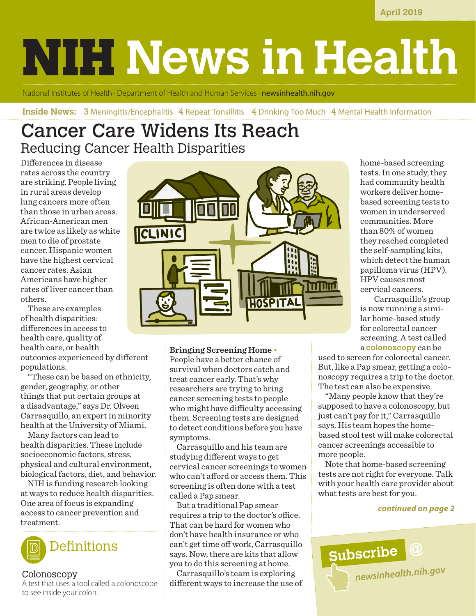**April 2019**

# **NIH News in Health**

National Institutes of Health • Department of Health and Human Services • **[newsinhealth.nih.gov](https://newsinhealth.nih.gov)** 

#### **Inside News: 3** Meningitis/Encephalitis 4 Repeat Tonsillitis 4 Drinking Too Much 4 Mental Health Information

## Cancer Care Widens Its Reach Reducing Cancer Health Disparities

Differences in disease rates across the country are striking. People living in rural areas develop lung cancers more often than those in urban areas. African-American men are twice as likely as white men to die of prostate cancer. Hispanic women have the highest cervical cancer rates. Asian Americans have higher rates of liver cancer than others.

These are examples of health disparities: differences in access to health care, quality of health care, or health outcomes experienced by different populations.

"These can be based on ethnicity, gender, geography, or other things that put certain groups at a disadvantage," says Dr. Olveen Carrasquillo, an expert in minority health at the University of Miami.

Many factors can lead to health disparities. These include socioeconomic factors, stress, physical and cultural environment, biological factors, diet, and behavior.

NIH is funding research looking at ways to reduce health disparities. One area of focus is expanding access to cancer prevention and treatment.



### Colonoscopy

A test that uses a tool called a colonoscope to see inside your colon.



**Bringing Screening Home** •

People have a better chance of survival when doctors catch and treat cancer early. That's why researchers are trying to bring cancer screening tests to people who might have difficulty accessing them. Screening tests are designed to detect conditions before you have symptoms.

Carrasquillo and his team are studying different ways to get cervical cancer screenings to women who can't afford or access them. This screening is often done with a test called a Pap smear.

But a traditional Pap smear requires a trip to the doctor's office. That can be hard for women who don't have health insurance or who can't get time off work, Carrasquillo says. Now, there are kits that allow you to do this screening at home.

Carrasquillo's team is exploring different ways to increase the use of home-based screening tests. In one study, they had community health workers deliver homebased screening tests to women in underserved communities. More than 80% of women they reached completed the self-sampling kits, which detect the human papilloma virus (HPV). HPV causes most cervical cancers.

Carrasquillo's group is now running a similar home-based study for colorectal cancer screening. A test called a **colonoscopy** can be

used to screen for colorectal cancer. But, like a Pap smear, getting a colonoscopy requires a trip to the doctor. The test can also be expensive.

"Many people know that they're supposed to have a colonoscopy, but just can't pay for it," Carrasquillo says. His team hopes the homebased stool test will make colorectal cancer screenings accessible to more people.

Note that home-based screening tests are not right for everyone. Talk with your health care provider about what tests are best for you.

#### *continued on page 2*

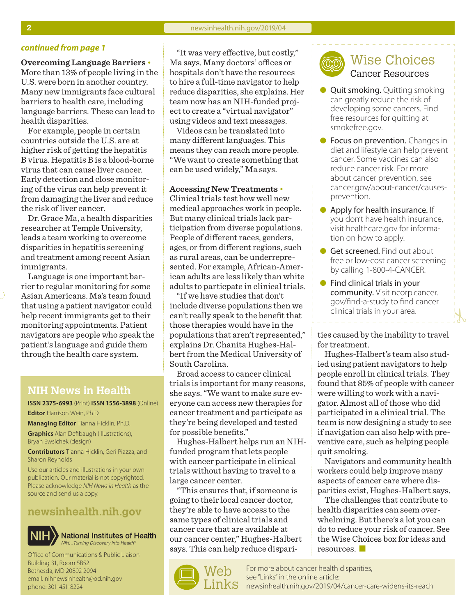**Overcoming Language Barriers** • More than 13% of people living in the U.S. were born in another country. Many new immigrants face cultural barriers to health care, including language barriers. These can lead to health disparities.

For example, people in certain countries outside the U.S. are at higher risk of getting the hepatitis B virus. Hepatitis B is a blood-borne virus that can cause liver cancer. Early detection and close monitoring of the virus can help prevent it from damaging the liver and reduce the risk of liver cancer.

Dr. Grace Ma, a health disparities researcher at Temple University, leads a team working to overcome disparities in hepatitis screening and treatment among recent Asian immigrants.

Language is one important barrier to regular monitoring for some Asian Americans. Ma's team found that using a patient navigator could help recent immigrants get to their monitoring appointments. Patient navigators are people who speak the patient's language and guide them through the health care system.

#### **NIH News in Health**

**ISSN 2375-6993** (Print) **ISSN 1556-3898** (Online) **Editor** Harrison Wein, Ph.D.

**Managing Editor** Tianna Hicklin, Ph.D. **Graphics** Alan Defibaugh (illustrations), Bryan Ewsichek (design)

**Contributors** Tianna Hicklin, Geri Piazza, and Sharon Reynolds

Use our articles and illustrations in your own publication. Our material is not copyrighted. Please acknowledge *NIH News in Health* as the source and send us a copy.

#### **[newsinhealth.nih.gov](https://newsinhealth.nih.gov)**



**National Institutes of Health** *NIH…Turning Discovery Into Health®*

Office of Communications & Public Liaison Building 31, Room 5B52 Bethesda, MD 20892-2094 email: nihnewsinhealth@od.nih.gov phone: 301-451-8224

**continued from page 1** The *continued from page 1* The *continued from page 1* The *costly*," Ma says. Many doctors' offices or hospitals don't have the resources to hire a full-time navigator to help reduce disparities, she explains. Her team now has an NIH-funded project to create a "virtual navigator" using videos and text messages.

> Videos can be translated into many different languages. This means they can reach more people. "We want to create something that can be used widely," Ma says.

#### **Accessing New Treatments** •

Clinical trials test how well new medical approaches work in people. But many clinical trials lack participation from diverse populations. People of different races, genders, ages, or from different regions, such as rural areas, can be underrepresented. For example, African-American adults are less likely than white adults to particpate in clinical trials.

"If we have studies that don't include diverse populations then we can't really speak to the benefit that those therapies would have in the populations that aren't represented," explains Dr. Chanita Hughes-Halbert from the Medical University of South Carolina.

Broad access to cancer clinical trials is important for many reasons, she says. "We want to make sure everyone can access new therapies for cancer treatment and participate as they're being developed and tested for possible benefits."

Hughes-Halbert helps run an NIHfunded program that lets people with cancer participate in clinical trials without having to travel to a large cancer center.

"This ensures that, if someone is going to their local cancer doctor, they're able to have access to the same types of clinical trials and cancer care that are available at our cancer center," Hughes-Halbert says. This can help reduce dispari-



- **Quit smoking.** Quitting smoking can greatly reduce the risk of developing some cancers. Find free resources for quitting at smokefree.gov.
- **Focus on prevention.** Changes in diet and lifestyle can help prevent cancer. Some vaccines can also reduce cancer risk. For more about cancer prevention, see [cancer.gov/about-cancer/causes](https://www.cancer.gov/about-cancer/causes-prevention)[prevention](https://www.cancer.gov/about-cancer/causes-prevention).
- **Apply for health insurance.** If you don't have health insurance, visit healthcare.gov for information on how to apply.
- **Get screened.** Find out about free or low-cost cancer screening by calling 1-800-4-CANCER.
- $\bullet$  Find clinical trials in your community. Visit [ncorp.cancer.](https://ncorp.cancer.gov/find-a-study/) [gov/find-a-study](https://ncorp.cancer.gov/find-a-study/) to find cancer clinical trials in your area.

ties caused by the inability to travel for treatment.

Hughes-Halbert's team also studied using patient navigators to help people enroll in clinical trials. They found that 85% of people with cancer were willing to work with a navigator. Almost all of those who did participated in a clinical trial. The team is now designing a study to see if navigation can also help with preventive care, such as helping people quit smoking.

Navigators and community health workers could help improve many aspects of cancer care where disparities exist, Hughes-Halbert says.

The challenges that contribute to health disparities can seem overwhelming. But there's a lot you can do to reduce your risk of cancer. See the Wise Choices box for ideas and  $resources.$ 

For more about cancer health disparities, see "Links" in the online article: [newsinhealth.nih.gov/2019/0](http://newsinhealth.nih.gov/2019/04/cancer-care-widens-reach)4/cancer-care-widens-its-reach

Ŋ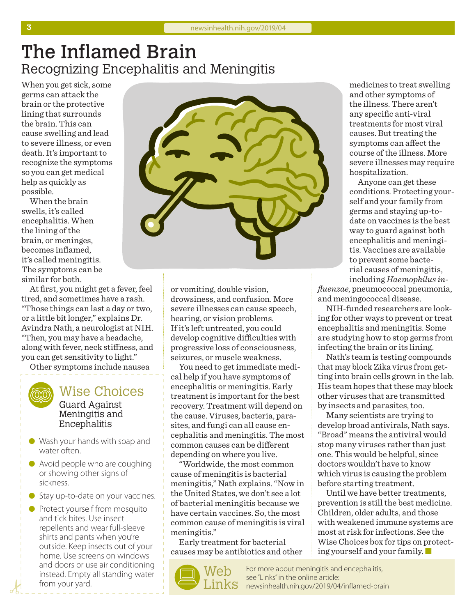## The Inflamed Brain Recognizing Encephalitis and Meningitis

When you get sick, some germs can attack the brain or the protective lining that surrounds the brain. This can cause swelling and lead to severe illness, or even death. It's important to recognize the symptoms so you can get medical help as quickly as possible.

When the brain swells, it's called encephalitis. When the lining of the brain, or meninges, becomes inflamed, it's called meningitis. The symptoms can be similar for both.

At first, you might get a fever, feel tired, and sometimes have a rash. "Those things can last a day or two, or a little bit longer," explains Dr. Avindra Nath, a neurologist at NIH. "Then, you may have a headache, along with fever, neck stiffness, and you can get sensitivity to light."

Other symptoms include nausea



## Wise Choices

Guard Against Meningitis and Encephalitis

- Wash your hands with soap and water often.
- $\bullet$  Avoid people who are coughing or showing other signs of sickness.
- Stay up-to-date on your vaccines.
- **•** Protect yourself from mosquito and tick bites. Use insect repellents and wear full-sleeve shirts and pants when you're outside. Keep insects out of your home. Use screens on windows and doors or use air conditioning instead. Empty all standing water from your yard.



or vomiting, double vision, drowsiness, and confusion. More severe illnesses can cause speech, hearing, or vision problems. If it's left untreated, you could develop cognitive difficulties with progressive loss of consciousness, seizures, or muscle weakness.

You need to get immediate medical help if you have symptoms of encephalitis or meningitis. Early treatment is important for the best recovery. Treatment will depend on the cause. Viruses, bacteria, parasites, and fungi can all cause encephalitis and meningitis. The most common causes can be different depending on where you live.

"Worldwide, the most common cause of meningitis is bacterial meningitis," Nath explains. "Now in the United States, we don't see a lot of bacterial meningitis because we have certain vaccines. So, the most common cause of meningitis is viral meningitis."

Early treatment for bacterial causes may be antibiotics and other



For more about meningitis and encephalitis, see "Links" in the online article:  $\text{Links}\,$  [newsinhealth.nih.gov/201](http://newsinhealth.nih.gov/2019/04/inflamed-brain)9/04/inflamed-brain

medicines to treat swelling and other symptoms of the illness. There aren't any specific anti-viral treatments for most viral causes. But treating the symptoms can affect the course of the illness. More severe illnesses may require hospitalization.

Anyone can get these conditions. Protecting yourself and your family from germs and staying up-todate on vaccines is the best way to guard against both encephalitis and meningitis. Vaccines are available to prevent some bacterial causes of meningitis, including *Haemophilus in-*

*fluenzae*, pneumococcal pneumonia, and meningococcal disease.

NIH-funded researchers are looking for other ways to prevent or treat encephalitis and meningitis. Some are studying how to stop germs from infecting the brain or its lining.

Nath's team is testing compounds that may block Zika virus from getting into brain cells grown in the lab. His team hopes that these may block other viruses that are transmitted by insects and parasites, too.

Many scientists are trying to develop broad antivirals, Nath says. "Broad" means the antiviral would stop many viruses rather than just one. This would be helpful, since doctors wouldn't have to know which virus is causing the problem before starting treatment.

Until we have better treatments, prevention is still the best medicine. Children, older adults, and those with weakened immune systems are most at risk for infections. See the Wise Choices box for tips on protecting yourself and your family.  $\blacksquare$